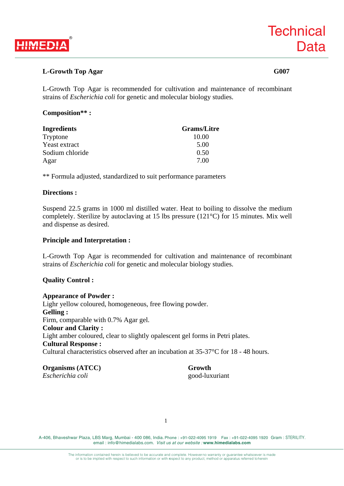

# **L-Growth Top Agar G007**

L-Growth Top Agar is recommended for cultivation and maintenance of recombinant strains of *Escherichia coli* for genetic and molecular biology studies.

## **Composition\*\* :**

| Ingredients     | <b>Grams/Litre</b> |
|-----------------|--------------------|
| Tryptone        | 10.00              |
| Yeast extract   | 5.00               |
| Sodium chloride | 0.50               |
| Agar            | 7.00               |

\*\* Formula adjusted, standardized to suit performance parameters

### **Directions :**

Suspend 22.5 grams in 1000 ml distilled water. Heat to boiling to dissolve the medium completely. Sterilize by autoclaving at 15 lbs pressure (121°C) for 15 minutes. Mix well and dispense as desired.

#### **Principle and Interpretation :**

L-Growth Top Agar is recommended for cultivation and maintenance of recombinant strains of *Escherichia coli* for genetic and molecular biology studies.

# **Quality Control :**

**Appearance of Powder :**  Lighr yellow coloured, homogeneous, free flowing powder. **Gelling :**  Firm, comparable with 0.7% Agar gel. **Colour and Clarity :**  Light amber coloured, clear to slightly opalescent gel forms in Petri plates. **Cultural Response :**  Cultural characteristics observed after an incubation at 35-37°C for 18 - 48 hours.

**Organisms (ATCC) Growth** *Escherichia coli* good-luxuriant

A-406, Bhaveshwar Plaza, LBS Marg, Mumbai - 400 086, India. Phone : +91-022-4095 1919 Fax : +91-022-4095 1920 Gram : STERILITY. email : info@himedialabs.com. *Visit us at our website :* **www.himedialabs.com**

1